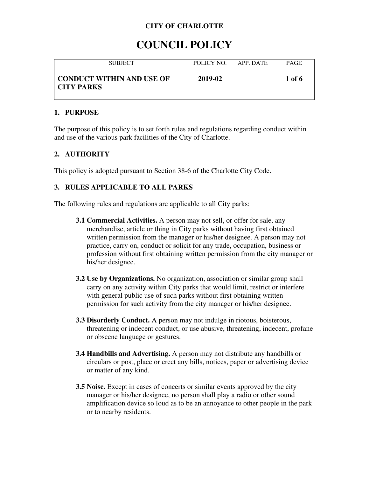# **COUNCIL POLICY**

| <b>SUBJECT</b>                            | POLICY NO | APP DATE | <b>PAGE</b> |
|-------------------------------------------|-----------|----------|-------------|
| CONDUCT WITHIN AND USE OF<br>  CITY PARKS | 2019-02   |          | 1 of 6      |

### **1. PURPOSE**

The purpose of this policy is to set forth rules and regulations regarding conduct within and use of the various park facilities of the City of Charlotte.

### **2. AUTHORITY**

This policy is adopted pursuant to Section 38-6 of the Charlotte City Code.

## **3. RULES APPLICABLE TO ALL PARKS**

The following rules and regulations are applicable to all City parks:

- **3.1 Commercial Activities.** A person may not sell, or offer for sale, any merchandise, article or thing in City parks without having first obtained written permission from the manager or his/her designee. A person may not practice, carry on, conduct or solicit for any trade, occupation, business or profession without first obtaining written permission from the city manager or his/her designee.
- **3.2 Use by Organizations.** No organization, association or similar group shall carry on any activity within City parks that would limit, restrict or interfere with general public use of such parks without first obtaining written permission for such activity from the city manager or his/her designee.
- **3.3 Disorderly Conduct.** A person may not indulge in riotous, boisterous, threatening or indecent conduct, or use abusive, threatening, indecent, profane or obscene language or gestures.
- **3.4 Handbills and Advertising.** A person may not distribute any handbills or circulars or post, place or erect any bills, notices, paper or advertising device or matter of any kind.
- **3.5 Noise.** Except in cases of concerts or similar events approved by the city manager or his/her designee, no person shall play a radio or other sound amplification device so loud as to be an annoyance to other people in the park or to nearby residents.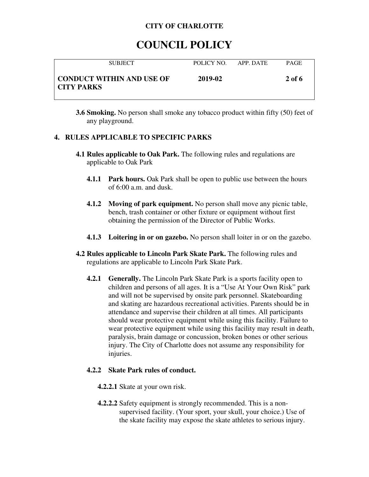## **COUNCIL POLICY**

| <b>SUBJECT</b>                            | POLICY NO | APP DATE | <b>PAGE</b> |
|-------------------------------------------|-----------|----------|-------------|
| CONDUCT WITHIN AND USE OF<br>  CITY PARKS | 2019-02   |          | 2 of 6      |

**3.6 Smoking.** No person shall smoke any tobacco product within fifty (50) feet of any playground.

### **4. RULES APPLICABLE TO SPECIFIC PARKS**

- **4.1 Rules applicable to Oak Park.** The following rules and regulations are applicable to Oak Park
	- **4.1.1 Park hours.** Oak Park shall be open to public use between the hours of 6:00 a.m. and dusk.
	- **4.1.2 Moving of park equipment.** No person shall move any picnic table, bench, trash container or other fixture or equipment without first obtaining the permission of the Director of Public Works.
	- **4.1.3 Loitering in or on gazebo.** No person shall loiter in or on the gazebo.
- **4.2 Rules applicable to Lincoln Park Skate Park.** The following rules and regulations are applicable to Lincoln Park Skate Park.
	- **4.2.1 Generally.** The Lincoln Park Skate Park is a sports facility open to children and persons of all ages. It is a "Use At Your Own Risk" park and will not be supervised by onsite park personnel. Skateboarding and skating are hazardous recreational activities. Parents should be in attendance and supervise their children at all times. All participants should wear protective equipment while using this facility. Failure to wear protective equipment while using this facility may result in death, paralysis, brain damage or concussion, broken bones or other serious injury. The City of Charlotte does not assume any responsibility for injuries.

### **4.2.2 Skate Park rules of conduct.**

- **4.2.2.1** Skate at your own risk.
- **4.2.2.2** Safety equipment is strongly recommended. This is a nonsupervised facility. (Your sport, your skull, your choice.) Use of the skate facility may expose the skate athletes to serious injury.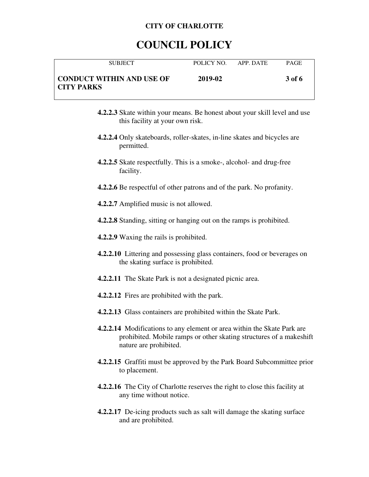## **COUNCIL POLICY**

| <b>SUBJECT</b>                                 | POLICY NO. | APP. DATE | <b>PAGE</b> |
|------------------------------------------------|------------|-----------|-------------|
| CONDUCT WITHIN AND USE OF<br><b>CITY PARKS</b> | 2019-02    |           | 3 of 6      |

- **4.2.2.3** Skate within your means. Be honest about your skill level and use this facility at your own risk.
- **4.2.2.4** Only skateboards, roller-skates, in-line skates and bicycles are permitted.
- **4.2.2.5** Skate respectfully. This is a smoke-, alcohol- and drug-free facility.
- **4.2.2.6** Be respectful of other patrons and of the park. No profanity.
- **4.2.2.7** Amplified music is not allowed.
- **4.2.2.8** Standing, sitting or hanging out on the ramps is prohibited.
- **4.2.2.9** Waxing the rails is prohibited.
- **4.2.2.10** Littering and possessing glass containers, food or beverages on the skating surface is prohibited.
- **4.2.2.11** The Skate Park is not a designated picnic area.
- **4.2.2.12** Fires are prohibited with the park.
- **4.2.2.13** Glass containers are prohibited within the Skate Park.
- **4.2.2.14** Modifications to any element or area within the Skate Park are prohibited. Mobile ramps or other skating structures of a makeshift nature are prohibited.
- **4.2.2.15** Graffiti must be approved by the Park Board Subcommittee prior to placement.
- **4.2.2.16** The City of Charlotte reserves the right to close this facility at any time without notice.
- **4.2.2.17** De-icing products such as salt will damage the skating surface and are prohibited.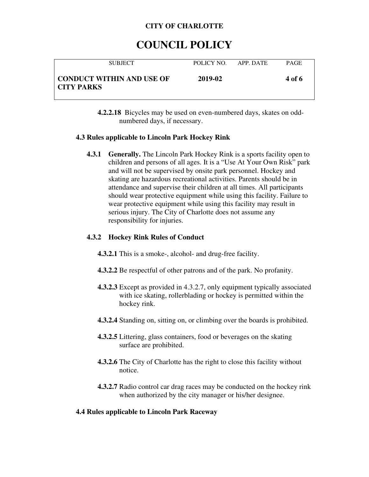## **COUNCIL POLICY**

| <b>SUBJECT</b>                                 | POLICY NO. | APP. DATE | <b>PAGE</b> |
|------------------------------------------------|------------|-----------|-------------|
| CONDUCT WITHIN AND USE OF<br><b>CITY PARKS</b> | 2019-02    |           | 4 of 6      |

**4.2.2.18** Bicycles may be used on even-numbered days, skates on oddnumbered days, if necessary.

### **4.3 Rules applicable to Lincoln Park Hockey Rink**

**4.3.1 Generally.** The Lincoln Park Hockey Rink is a sports facility open to children and persons of all ages. It is a "Use At Your Own Risk" park and will not be supervised by onsite park personnel. Hockey and skating are hazardous recreational activities. Parents should be in attendance and supervise their children at all times. All participants should wear protective equipment while using this facility. Failure to wear protective equipment while using this facility may result in serious injury. The City of Charlotte does not assume any responsibility for injuries.

### **4.3.2 Hockey Rink Rules of Conduct**

- **4.3.2.1** This is a smoke-, alcohol- and drug-free facility.
- **4.3.2.2** Be respectful of other patrons and of the park. No profanity.
- **4.3.2.3** Except as provided in 4.3.2.7, only equipment typically associated with ice skating, rollerblading or hockey is permitted within the hockey rink.
- **4.3.2.4** Standing on, sitting on, or climbing over the boards is prohibited.
- **4.3.2.5** Littering, glass containers, food or beverages on the skating surface are prohibited.
- **4.3.2.6** The City of Charlotte has the right to close this facility without notice.
- **4.3.2.7** Radio control car drag races may be conducted on the hockey rink when authorized by the city manager or his/her designee.

### **4.4 Rules applicable to Lincoln Park Raceway**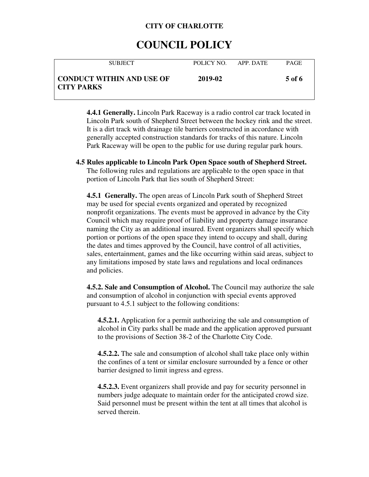## **COUNCIL POLICY**

| <b>SUBJECT</b>                                 | POLICY NO | APP DATE | <b>PAGE</b> |
|------------------------------------------------|-----------|----------|-------------|
| CONDUCT WITHIN AND USE OF<br><b>CITY PARKS</b> | 2019-02   |          | 5 of 6      |

**4.4.1 Generally.** Lincoln Park Raceway is a radio control car track located in Lincoln Park south of Shepherd Street between the hockey rink and the street. It is a dirt track with drainage tile barriers constructed in accordance with generally accepted construction standards for tracks of this nature. Lincoln Park Raceway will be open to the public for use during regular park hours.

**4.5 Rules applicable to Lincoln Park Open Space south of Shepherd Street.** The following rules and regulations are applicable to the open space in that portion of Lincoln Park that lies south of Shepherd Street:

**4.5.1 Generally.** The open areas of Lincoln Park south of Shepherd Street may be used for special events organized and operated by recognized nonprofit organizations. The events must be approved in advance by the City Council which may require proof of liability and property damage insurance naming the City as an additional insured. Event organizers shall specify which portion or portions of the open space they intend to occupy and shall, during the dates and times approved by the Council, have control of all activities, sales, entertainment, games and the like occurring within said areas, subject to any limitations imposed by state laws and regulations and local ordinances and policies.

**4.5.2. Sale and Consumption of Alcohol.** The Council may authorize the sale and consumption of alcohol in conjunction with special events approved pursuant to 4.5.1 subject to the following conditions:

**4.5.2.1.** Application for a permit authorizing the sale and consumption of alcohol in City parks shall be made and the application approved pursuant to the provisions of Section 38-2 of the Charlotte City Code.

**4.5.2.2.** The sale and consumption of alcohol shall take place only within the confines of a tent or similar enclosure surrounded by a fence or other barrier designed to limit ingress and egress.

**4.5.2.3.** Event organizers shall provide and pay for security personnel in numbers judge adequate to maintain order for the anticipated crowd size. Said personnel must be present within the tent at all times that alcohol is served therein.